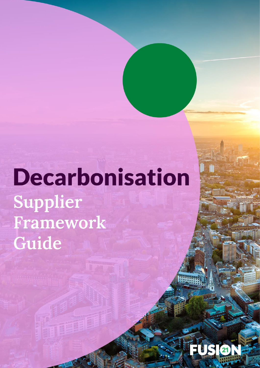**Decarbonisation** Supplier Framework Guide

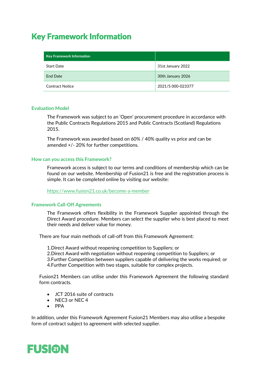# Key Framework Information

| <b>Key Framework Information</b> |                   |
|----------------------------------|-------------------|
| <b>Start Date</b>                | 31st January 2022 |
| <b>End Date</b>                  | 30th January 2026 |
| <b>Contract Notice</b>           | 2021/S 000-023377 |

#### **Evaluation Model**

The Framework was subject to an 'Open' procurement procedure in accordance with the Public Contracts Regulations 2015 and Public Contracts (Scotland) Regulations 2015.

The Framework was awarded based on 60% / 40% quality vs price and can be amended +/- 20% for further competitions.

#### **How can you access this Framework?**

Framework access is subject to our terms and conditions of membership which can be found on our website. Membership of Fusion21 is free and the registration process is simple. It can be completed online by visiting our website:

<https://www.fusion21.co.uk/become-a-member>

### **Framework Call-Off Agreements**

The Framework offers flexibility in the Framework Supplier appointed through the Direct Award procedure. Members can select the supplier who is best placed to meet their needs and deliver value for money.

There are four main methods of call-off from this Framework Agreement:

1.Direct Award without reopening competition to Suppliers; or 2.Direct Award with negotiation without reopening competition to Suppliers; or 3.Further Competition between suppliers capable of delivering the works required; or 4.Further Competition with two stages, suitable for complex projects.

Fusion21 Members can utilise under this Framework Agreement the following standard form contracts.

- JCT 2016 suite of contracts
- NEC3 or NEC 4
- PPA

In addition, under this Framework Agreement Fusion21 Members may also utilise a bespoke form of contract subject to agreement with selected supplier.

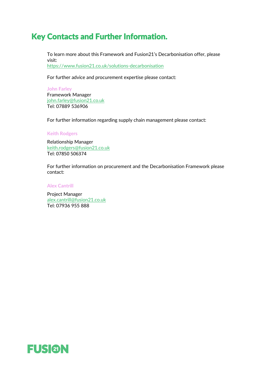## Key Contacts and Further Information.

To learn more about this Framework and Fusion21's Decarbonisation offer, please visit: <https://www.fusion21.co.uk/solutions-decarbonisation>

For further advice and procurement expertise please contact:

**John Farley** Framework Manager [john.farley@fusion21.co.uk](mailto:john.farley@fusion21.co.uk) Tel: 07889 536906

For further information regarding supply chain management please contact:

**Keith Rodgers**

Relationship Manager [keith.rodgers@fusion21.co.uk](mailto:keith.rodgers@fusion21.co.uk) Tel: 07850 506374

For further information on procurement and the Decarbonisation Framework please contact:

**Alex Cantrill**

Project Manager [alex.cantrill@fusion21.co.uk](mailto:alex.cantrill@fusion21.co.uk) Tel: 07936 955 888